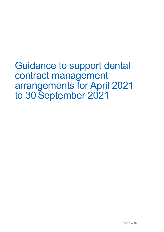Guidance to support dental contract management arrangements for April 2021 to 30 September 2021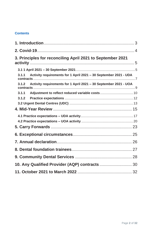### **Contents**

| 3. Principles for reconciling April 2021 to September 2021                |  |
|---------------------------------------------------------------------------|--|
|                                                                           |  |
| 3.1.1 Activity requirements for 1 April 2021 - 30 September 2021 - UDA    |  |
| Activity requirements for 1 April 2021 - 30 September 2021 - UOA<br>3.1.2 |  |
|                                                                           |  |
|                                                                           |  |
|                                                                           |  |
|                                                                           |  |
|                                                                           |  |
|                                                                           |  |
|                                                                           |  |
|                                                                           |  |
|                                                                           |  |
|                                                                           |  |
|                                                                           |  |
|                                                                           |  |
|                                                                           |  |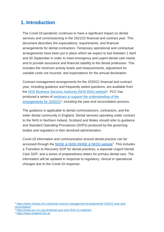## <span id="page-2-0"></span>**1. Introduction**

The Covid-19 pandemic continues to have a significant impact on dental services and commissioning in the 2021/22 financial and contract year. This document describes the expectations, requirements, and financial arrangements for dental contractors. Temporary operational and contractual arrangements have been put in place which we expect to last between 1 April and 30 September in order to meet emergency and urgent dental care needs and to provide assurance and financial stability to the dental profession. This includes the minimum activity levels and measurements, adjustment for variable costs not incurred, and expectations for the annual declaration.

Contract management arrangements for the 2020/21 financial and contract year, including guidance and frequently asked questions, are available from the **NHS Business Services Authority (NHS BSA)** website<sup>1</sup>. PCC has produced a series of [webinars to support the understanding of the](https://www.pcc-cic.org.uk/dental-year-end-2020-21-webinars/)  [arrangements for 2020/21](https://www.pcc-cic.org.uk/dental-year-end-2020-21-webinars/)<sup>2</sup>, including the year-end reconciliation process.

The guidance is applicable to dental commissioners, contractors, and the wider dental community in England. Dental services operating under contract to the NHS in Northern Ireland, Scotland and Wales should refer to guidance and Standard Operating Procedures (SOPs) produced by the governing bodies and regulators in their devolved administration.

Covid-19 information and communication around dental practice can be accessed through the **NHSE & NHSI (NHSE & NHSI)** website<sup>3</sup>. This includes a Transition to Recovery SOP for dental practices, a separate Urgent Dental Care SOP, and a series of preparedness letters for primary dental care. The information will be updated in response to regulatory, clinical or operational changes due to the Covid-19 response.

<sup>1</sup> [https://www.nhsbsa.nhs.uk/dental-contract-management-arrangements-202021-year-end](https://www.nhsbsa.nhs.uk/dental-contract-management-arrangements-202021-year-end-reconciliation)[reconciliation](https://www.nhsbsa.nhs.uk/dental-contract-management-arrangements-202021-year-end-reconciliation)

<sup>2</sup> <https://www.pcc-cic.org.uk/dental-year-end-2020-21-webinars>

<sup>3</sup> [https://www.england.nhs.uk](https://www.england.nhs.uk/)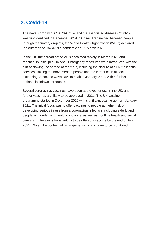## <span id="page-3-0"></span>**2. Covid-19**

The novel coronavirus SARS-CoV-2 and the associated disease Covid-19 was first identified in December 2019 in China. Transmitted between people through respiratory droplets, the World Health Organization (WHO) declared the outbreak of Covid-19 a pandemic on 11 March 2020.

In the UK, the spread of the virus escalated rapidly in March 2020 and reached its initial peak in April. Emergency measures were introduced with the aim of slowing the spread of the virus, including the closure of all but essential services, limiting the movement of people and the introduction of social distancing. A second wave saw its peak in January 2021, with a further national lockdown introduced.

Several coronavirus vaccines have been approved for use in the UK, and further vaccines are likely to be approved in 2021. The UK vaccine programme started in December 2020 with significant scaling up from January 2021. The initial focus was to offer vaccines to people at higher risk of developing serious illness from a coronavirus infection, including elderly and people with underlying health conditions, as well as frontline health and social care staff. The aim is for all adults to be offered a vaccine by the end of July 2021. Given the context, all arrangements will continue to be monitored.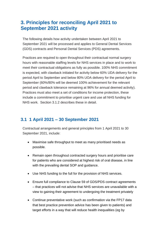## <span id="page-4-0"></span>**3. Principles for reconciling April 2021 to September 2021 activity**

The following details how activity undertaken between April 2021 to September 2021 will be processed and applies to General Dental Services (GDS) contracts and Personal Dental Services (PDS) agreements.

Practices are required to open throughout their contractual normal surgery hours with reasonable staffing levels for NHS services in place and to work to meet their contractual obligations as fully as possible. 100% NHS commitment is expected, with clawback initiated for activity below 60% UDA delivery for the period April to September and below 80% UOA delivery for the period April to September (60%/80% will be deemed 100% achievement for the relevant period and clawback tolerance remaining at 96% for annual deemed activity). Practices must also meet a set of conditions for income protection, these include a commitment to prioritise urgent care and use all NHS funding for NHS work. Section 3.1.2 describes these in detail.

### <span id="page-4-1"></span>**3.1 1 April 2021 – 30 September 2021**

Contractual arrangements and general principles from 1 April 2021 to 30 September 2021, include:

- Maximise safe throughput to meet as many prioritised needs as possible.
- Remain open throughout contracted surgery hours and prioritise care for patients who are considered at highest risk of oral disease, in line with the prevailing dental SOP and guidance.
- Use NHS funding to the full for the provision of NHS services.
- Ensure full compliance to Clause 59 of GDS/PDS contract agreements – that practices will not advise that NHS services are unavailable with a view to gaining their agreement to undergoing the treatment privately
- Continue preventative work (such as confirmation via the FP17 data that best practice prevention advice has been given to patients) and target efforts in a way that will reduce health inequalities (eg by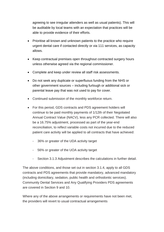agreeing to see irregular attenders as well as usual patients). This will be auditable by local teams with an expectation that practices will be able to provide evidence of their efforts.

- Prioritise all known and unknown patients to the practice who require urgent dental care if contacted directly or via 111 services, as capacity allows.
- Keep contractual premises open throughout contracted surgery hours unless otherwise agreed via the regional commissioner.
- Complete and keep under review all staff risk assessments.
- Do not seek any duplicate or superfluous funding from the NHS or other government sources – including furlough or additional sick or parental leave pay that was not used to pay for cover.
- Continued submission of the monthly workforce return.
- For this period, GDS contracts and PDS agreement holders will continue to be paid monthly payments of 1/12th of their Negotiated Annual Contract Value (NACV), less any PCR collected. There will also be a 16.75% adjustment, processed as part of the year-end reconciliation, to reflect variable costs not incurred due to the reduced patient care activity will be applied to all contracts that have achieved:
	- 36% or greater of the UDA activity target
	- 56% or greater of the UOA activity target
	- Section 3.1.3 Adjustment describes the calculations in further detail.

The above conditions, and those set out in section 3.1.4, apply to all GDS contracts and PDS agreements that provide mandatory, advanced mandatory (including domiciliary, sedation, public health and orthodontic services). Community Dental Services and Any Qualifying Providers PDS agreements are covered in Section 9 and 10.

Where any of the above arrangements or requirements have not been met, the providers will revert to usual contractual arrangements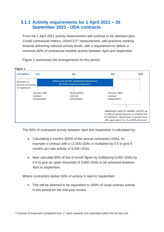### <span id="page-6-0"></span>**3.1.1 Activity requirements for 1 April 2021 – 30 September 2021 - UDA contracts**

From the 1 April 2021 activity measurement will continue to be standard (pre-Covid) contractual metrics, UDA/COT<sup>4</sup> measurement, with practices working towards delivering reduced activity levels, with a requirement to deliver a minimum 60% of contractual monthly activity between April and September.



Figure 1 summaries the arrangements for this period.

The 60% of contracted activity between April and September is calculated by:

- Calculating 6 months (50%) of the annual contracted UDAs, for example a contract with a 12,000 UDAs is multiplied by 0.5 to give 6 months pro rata activity of 6,000 UDAs
- Next calculate 60% of this 6-month figure by multiplying 6,000 UDAs by 0.6 to give an upper threshold of 3,600 UDAs to be achieved between April to September.

Where contractors deliver 60% of activity in April to September:

• This will be deemed to be equivalent to 100% of usual contract activity in this period for the mid-year review.

<sup>4</sup> Courses of treatment completed from 1st April onwards and submitted within the 60-day rule.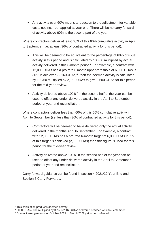• Any activity over 60% means a reduction to the adjustment for variable costs not incurred, applied at year end. There will be no carry forward of activity above 60% to the second part of the year.

Where contractors deliver at least 60% of this 60% cumulative activity in April to September (i.e. at least 36% of contracted activity for this period):

- This will be deemed to be equivalent to the percentage of 60% of usual activity in this period and is calculated by 100/60 multiplied by actual activity delivered in this 6-month period<sup>5</sup>. For example, a contract with 12,000 UDAs has a pro rata 6 month upper-threshold of 6,000 UDAs, if  $36\%$  is achieved (2,160UDAs) $6$  then the deemed activity is calculated by 100/60 multiplied by 2,160 UDAs to give 3,600 UDAs for this period for the mid-year review.
- Activity delivered above 100% $^7$  in the second half of the year can be used to offset any under-delivered activity in the April to September period at year end reconciliation.

Where contractors deliver less than 60% of this 60% cumulative activity in April to September (i.e. less than 36% of contracted activity for this period):

- Contractors will be deemed to have delivered only the actual activity delivered in the months April to September. For example, a contract with 12,000 UDAs has a pro rata 6-month target of 6,000 UDAs if 35% of this target is achieved (2,100 UDAs) then this figure is used for this period for the mid-year review.
- Activity delivered above 100% in the second half of the year can be used to offset any under-delivered activity in the April to September period at year end reconciliation.

Carry forward guidance can be found in section 4 2021/22 Year End and Section 5 Carry Forwards.

<sup>5</sup> This calculation produces deemed activity

<sup>6</sup> 6000 UDAs / 100 multiplied by 36% is 2,160 UDAs delivered between April to September.

<sup>7</sup> Contract arrangements for October 2021 to March 2022 yet to be confirmed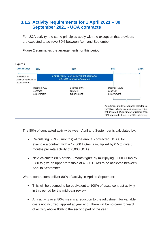### <span id="page-8-0"></span>**3.1.2 Activity requirements for 1 April 2021 – 30 September 2021 - UOA contracts**

For UOA activity, the same principles apply with the exception that providers are expected to achieve 80% between April and September.

Figure 2 summaries the arrangements for this period.



The 80% of contracted activity between April and September is calculated by:

- Calculating 50% (6 months) of the annual contracted UOAs, for example a contract with a 12,000 UOAs is multiplied by 0.5 to give 6 months pro rata activity of 6,000 UOAs
- Next calculate 80% of this 6-month figure by multiplying 6,000 UOAs by 0.80 to give an upper-threshold of 4,800 UOAs to be achieved between April to September.

Where contractors deliver 80% of activity in April to September:

- This will be deemed to be equivalent to 100% of usual contract activity in this period for the mid-year review.
- Any activity over 80% means a reduction to the adjustment for variable costs not incurred, applied at year end. There will be no carry forward of activity above 80% to the second part of the year.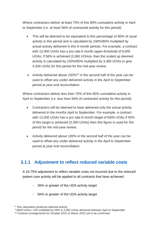Where contractors deliver at least 70% of this 80% cumulative activity in April to September (i.e. at least 56% of contracted activity for this period):

- This will be deemed to be equivalent to this percentage of 80% of usual activity in this period and is calculated by 100%/80% multiplied by actual activity delivered in this 6-month periods. For example, a contract with 12,000 UOAs has a pro rata 6 month upper-threshold of 6,000 UOAs, if 56% is achieved (3,360 UOAs)<sup>9</sup> then the scaled up deemed activity is calculated by 100%/80% multiplied by 3,360 UOAs to give 4,200 UOAs for this period for the mid-year review.
- Activity delivered above 100%<sup>10</sup> in the second half of the year can be used to offset any under-delivered activity in the April to September period at year end reconciliation.

Where contractors deliver less than 70% of this 80% cumulative activity in April to September (i.e. less than 56% of contracted activity for this period):

- Contractors will be deemed to have delivered only the actual activity delivered in the months April to September. For example, a contract with 12,000 UOAs has a pro rata 6-month target of 6000 UOAs if 55% of this target is achieved (3,300 UOAs) then this figure is used for this period for the mid-year review.
- Activity delivered above 100% in the second half of the year can be used to offset any under-delivered activity in the April to September period at year end reconciliation.

### <span id="page-9-0"></span>**3.1.1 Adjustment to reflect reduced variable costs**

A 16.75% adjustment to reflect variable costs not incurred due to the reduced patient care activity will be applied to all contracts that have achieved:

- 36% or greater of the UDA activity target
- 56% or greater of the UOA activity target

<sup>8</sup> This calculation produces deemed activity

<sup>9</sup> 6000 UOAs / 100 multiplied by 56% is 3,360 UOAs delivered between April to September

<sup>10</sup> Contract arrangements for October 2021 to March 2022 yet to be confirmed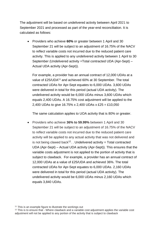The adjustment will be based on undelivered activity between April 2021 to September 2021 and processed as part of the year-end reconciliation. It is calculated as follows:

• Providers who achieve **60%** or greater between 1 April and 30 September 21 will be subject to an adjustment of 16.75% of the NACV to reflect variable costs not incurred due to the reduced patient care activity. This is applied to any undelivered activity between 1 April to 30 September (Undelivered activity =Total contracted UDA (Apr-Sept) – Actual UDA activity (Apr-Sept)).

For example, a provider has an annual contract of 12,000 UDAs at a value of £25/UDA<sup>11</sup> and achieved 60% at 30 September. The total contracted UDAs for Apr-Sept equates to 6,000 UDAs. 3,600 UDAs were delivered in total for this period (actual UDA activity). The undelivered activity would be 6,000 UDAs minus 3,600 UDAs which equals 2,400 UDAs. A 16.75% cost adjustment will be applied to the 2,400 UDAs to give 16.75% x 2,400 UDAs x £25 = £10,050

The same calculation applies to UOA activity that is 80% or greater.

• Providers who achieve **36% to 59.99%** between 1 April and 30 September 21 will be subject to an adjustment of 16.75% of the NACV to reflect variable costs not incurred due to the reduced patient care activity will be applied to any actual activity that was not delivered and is not being clawed back<sup>12</sup>.  $\blacksquare$  Undelivered activity = Total contracted UDA (Apr-Sept) – Actual UDA activity (Apr-Sept)). This ensures that the variable costs adjustment is not applied to the portion of activity that is subject to clawback. For example, a provider has an annual contract of 12,000 UDAs at a value of £25/UDA and achieved 36%. The total contracted UDAs for Apr-Sept equates to 6,000 UDAs. 2,160 UDAs were delivered in total for this period (actual UDA activity). The undelivered activity would be 6,000 UDAs minus 2,160 UDAs which equals 3,840 UDAs.

<sup>11</sup> This is an example figure to illustrate the workings out

<sup>12</sup> This is to ensure that - Where clawback and a variable cost adjustment applies the variable cost adjustment will not be applied to any portion of the activity that is subject to clawback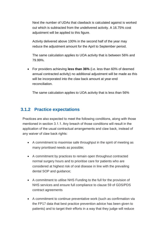Next the number of UDAs that clawback is calculated against is worked out which is subtracted from the undelivered activity. A 16.75% cost adjustment will be applied to this figure.

Activity delivered above 100% in the second half of the year may reduce the adjustment amount for the April to September period.

The same calculation applies to UOA activity that is between 56% and 79.99%.

• For providers achieving **less than 36%** (i.e. less than 60% of deemed annual contracted activity) no additional adjustment will be made as this will be incorporated into the claw back amount at year-end reconciliation.

The same calculation applies to UOA activity that is less than 56%

### <span id="page-11-0"></span>**3.1.2 Practice expectations**

Practices are also expected to meet the following conditions, along with those mentioned in section 3.1.1. Any breach of those conditions will result in the application of the usual contractual arrangements and claw back, instead of any waiver of claw back rights:

- A commitment to maximise safe throughput in the spirit of meeting as many prioritised needs as possible;
- A commitment by practices to remain open throughout contracted normal surgery hours and to prioritise care for patients who are considered at highest risk of oral disease in line with the prevailing dental SOP and guidance;
- A commitment to utilise NHS Funding to the full for the provision of NHS services and ensure full compliance to clause 59 of GDS/PDS contract agreements
- A commitment to continue preventative work (such as confirmation via the FP17 data that best practice prevention advice has been given to patients) and to target their efforts in a way that they judge will reduce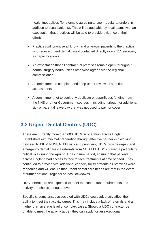health inequalities (for example agreeing to see irregular attenders in addition to usual patients). This will be auditable by local teams with an expectation that practices will be able to provide evidence of their efforts;

- Practices will prioritise all known and unknown patients to the practice who require urgent dental care if contacted directly or via 111 services, as capacity allows
- An expectation that all contractual premises remain open throughout normal surgery hours unless otherwise agreed via the regional commissioner
- A commitment to complete and keep under review all staff risk assessments
- A commitment not to seek any duplicate or superfluous funding from the NHS or other Government sources – including furlough or additional sick or parental leave pay that was not used to pay for cover;

# <span id="page-12-0"></span>**3.2 Urgent Dental Centres (UDC)**

There are currently more than 600 UDCs in operation across England. Established with minimal preparation through effective partnership working between NHSE & NHSI, NHS trusts and providers, UDCs provide urgent and emergency dental care via referrals from NHS 111. UDCs played a particularly critical role during the April to June closure period, ensuring that patients across England had access to face to face treatments at time of need. They continued to provide vital additional capacity for treatments as practices were reopening and will ensure that urgent dental care needs are met in the event of further national, regional or local lockdowns.

UDC contractors are expected to meet the contractual requirements and activity thresholds set out above.

Specific circumstances associated with UDCs could adversely affect their ability to meet their activity target. This may include a lack of referrals and a higher than average level of complex cases. Should a UDC contractor be unable to meet the activity target, they can apply for an exceptional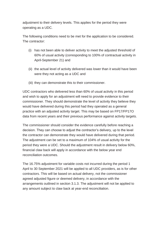adjustment to their delivery levels. This applies for the period they were operating as a UDC.

The following conditions need to be met for the application to be considered. The contractor:

- (i) has not been able to deliver activity to meet the adjusted threshold of 60% of usual activity (corresponding to 100% of contractual activity in April-September 21) and
- (ii) the actual level of activity delivered was lower than it would have been were they not acting as a UDC and
- (iii) they can demonstrate this to their commissioner.

UDC contractors who delivered less than 60% of usual activity in this period and wish to apply for an adjustment will need to provide evidence to their commissioner. They should demonstrate the level of activity they believe they would have delivered during this period had they operated as a general practice with an adjusted activity target. This may be based on FP17/FP17O data from recent years and their previous performance against activity targets.

The commissioner should consider the evidence carefully before reaching a decision. They can choose to adjust the contractor's delivery, up to the level the contractor can demonstrate they would have delivered during that period. The adjustment can be set to a maximum of 104% of usual activity for the period they were a UDC. Should the adjustment result in delivery below 60%, financial claw back will apply in accordance with the below year end reconciliation outcomes.

The 16.75% adjustment for variable costs not incurred during the period 1 April to 30 September 2021 will be applied to all UDC providers, as is for other contractors. This will be based on actual delivery, not the commissioner agreed adjusted figure or deemed delivery, in accordance with the arrangements outlined in section 3.1.3. The adjustment will not be applied to any amount subject to claw back at year-end reconciliation.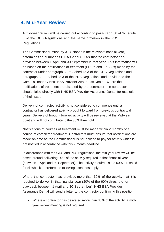### <span id="page-14-0"></span>**4. Mid-Year Review**

A mid-year review will be carried out according to paragraph 58 of Schedule 3 of the GDS Regulations and the same provision in the PDS Regulations.

The Commissioner must, by 31 October in the relevant financial year, determine the number of UDAs and UOAs that the contractor has provided between 1 April and 30 September in that year. This information will be based on the notifications of treatment (FP17s and FP17Os) made by the contractor under paragraph 38 of Schedule 3 of the GDS Regulations and paragraph 39 of Schedule 3 of the PDS Regulations and provided to the Commissioner by NHS BSA Provider Assurance Dental. Where the notifications of treatment are disputed by the contractor, the contractor should liaise directly with NHS BSA Provider Assurance Dental for resolution of their issue.

Delivery of contracted activity is not considered to commence until a contractor has delivered activity brought forward from previous contractual years. Delivery of brought forward activity will be reviewed at the Mid-year point and will not contribute to the 30% threshold.

Notifications of courses of treatment must be made within 2 months of a course of completed treatment. Contractors must ensure that notifications are made on time as the Commissioner is not obliged to pay for activity which is not notified in accordance with this 2-month deadline.

In accordance with the GDS and PDS regulations, the mid-year review will be based around delivering 30% of the activity required in that financial year (between 1 April and 30 September). The activity required is the 60% threshold for clawback, therefore the following scenarios apply

Where the contractor has provided more than 30% of the activity that it is required to deliver in that financial year (30% of the 60% threshold for clawback between 1 April and 30 September) NHS BSA Provider Assurance Dental will send a letter to the contractor confirming this position.

• Where a contractor has delivered more than 30% of the activity, a midyear review meeting is not required.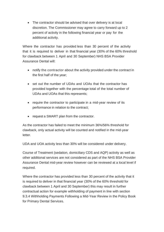• The contractor should be advised that over delivery is at local discretion. The Commissioner may agree to carry forward up to 2 percent of activity in the following financial year or pay for the additional activity.

Where the contractor has provided less than 30 percent of the activity that it is required to deliver in that financial year (30% of the 60% threshold for clawback between 1 April and 30 September) NHS BSA Provider Assurance Dental will:

- notify the contractor about the activity provided under the contract in the first half of the year;
- set out the number of UDAs and UOAs that the contractor has provided together with the percentage total of the total number of UDAs and UOAs that this represents;
- require the contractor to participate in a mid-year review of its performance in relation to the contract;
- request a SMART plan from the contractor.

As the contractor has failed to meet the minimum 36%/56% threshold for clawback, only actual activity will be counted and notified in the mid-year letter.

UDA and UOA activity less than 30% will be considered under delivery.

Course of Treatment (sedation, domiciliary CDS and AQP) activity as well as other additional services are not considered as part of the NHS BSA Provider Assurance Dental mid-year review however can be reviewed at a local level if required.

Where the contractor has provided less than 30 percent of the activity that it is required to deliver in that financial year (30% of the 60% threshold for clawback between 1 April and 30 September) this may result in further contractual action for example withholding of payment in line with section 9.3.4 Withholding Payments Following a Mid-Year Review in the Policy Book for Primary Dental Services.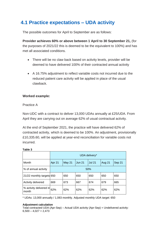# <span id="page-16-0"></span>**4.1 Practice expectations – UDA activity**

The possible outcomes for April to September are as follows:

**Provider achieves 60% or above between 1 April to 30 September 21,** (for the purposes of 2021/22 this is deemed to be the equivalent to 100%) and has met all associated conditions.

- There will be no claw back based on activity levels, provider will be deemed to have delivered 100% of their contracted annual activity
- A 16.75% adjustment to reflect variable costs not incurred due to the reduced patient care activity will be applied in place of the usual clawback.

### **Worked example:**

### Practice A

Non-UDC with a contract to deliver 13,000 UDAs annually at £25/UDA. From April they are carrying out on average 62% of usual contractual activity.

At the end of September 2021, the practice will have delivered 62% of contracted activity, which is deemed to be 100%. An adjustment, provisionally £10,335.60, will be applied at year-end reconciliation for variable costs not incurred.

|                                  | UDA delivery* |        |               |               |               |        |
|----------------------------------|---------------|--------|---------------|---------------|---------------|--------|
| Month                            | Apr 21        | May 21 | <b>Jun 21</b> | <b>Jul 21</b> | <b>Aug 21</b> | Sep 21 |
| % of annual activity             | 50%           |        |               |               |               |        |
| 21/22 monthly targets 650        |               | 650    | 650           | 650           | 650           | 650    |
| Activity delivered               | 669           | 673    | 667           | 674           | 679           | 665    |
| % activity delivered in<br>month | 62%           | 62%    | 62%           | 62%           | 62%           | 62%    |

**Table 3**

\* UDAs: 13,000 annually / 1,083 monthly. Adjusted monthly UDA target: 650

#### **Adjustment calculation**

Total contracted UDA (Apr-Sep) – Actual UDA activity (Apr-Sep) = Undelivered activity:  $6,500 - 4,027 = 2,473$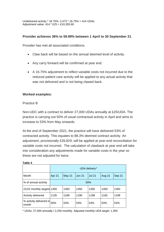Undelivered activity \* 16.75%: 2,473 \* 16.75% = 414 UDAs Adjustment value: 414 \* £25 = £10,355.60

#### **Provider achieves 36% to 59.99% between 1 April to 30 September 21**.

Provider has met all associated conditions.

- Claw back will be based on the annual deemed level of activity.
- Any carry forward will be confirmed at year end.
- A 16.75% adjustment to reflect variable costs not incurred due to the reduced patient care activity will be applied to any actual activity that was not delivered and is not being clawed back.

#### **Worked examples:**

#### Practice B

Non-UDC with a contract to deliver 27,000 UDAs annually at £25/UDA. The practice is carrying out 50% of usual contractual activity in April and aims to increase to 53% from May onwards.

At the end of September 2021, the practice will have delivered 53% of contracted activity. This equates to 88.3% deemed contract activity. An adjustment, provisionally £26,829, will be applied at year-end reconciliation for variable costs not incurred. The calculation of clawback at year end will take into consideration any adjustments made for variable costs in the year so these are not adjusted for twice.

|                                  | UDA delivery* |        |               |               |               |        |
|----------------------------------|---------------|--------|---------------|---------------|---------------|--------|
| Month                            | Apr 21        | May 21 | <b>Jun 21</b> | <b>Jul 21</b> | <b>Aug 21</b> | Sep 21 |
| % of annual activity             | 50%           |        |               |               |               |        |
| 21/22 monthly targets 1350       |               | 1350   | 1350          | 1350          | 1350          | 1350   |
| Activity delivered               | 1135          | 1189   | 1190          | 1198          | 1182          | 1199   |
| % activity delivered in<br>month | 50%           | 53%    | 53%           | 53%           | 53%           | 53%    |

#### **Table 4**

\* UDAs: 27,000 annually / 2,250 monthly. Adjusted monthly UDA target: 1,350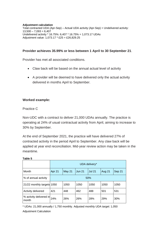#### **Adjustment calculation** Total contracted UDA (Apr-Sep) – Actual UDA activity (Apr-Sep) = Undelivered activity:  $13,500 - 7,093 = 6,407$ Undelivered activity \* 16.75%: 6,407 \* 16.75% = 1,073.17 UDAs Adjustment value: 1,073.17 \* £25 = £26,829.25

### **Provider achieves 35.99% or less between 1 April to 30 September 21**.

Provider has met all associated conditions.

- Claw back will be based on the annual actual level of activity
- A provider will be deemed to have delivered only the actual activity delivered in months April to September.

#### **Worked example:**

### Practice C

Non-UDC with a contract to deliver 21,000 UDAs annually. The practice is operating at 24% of usual contractual activity from April, aiming to increase to 30% by September.

At the end of September 2021, the practice will have delivered 27% of contracted activity in the period April to September. Any claw back will be applied at year end reconciliation. Mid-year review action may be taken in the meantime.

|                                  | UDA delivery* |        |               |               |               |        |
|----------------------------------|---------------|--------|---------------|---------------|---------------|--------|
| Month                            | Apr 21        | May 21 | <b>Jun 21</b> | <b>Jul 21</b> | <b>Aug 21</b> | Sep 21 |
| % of annual activity             | 50%           |        |               |               |               |        |
| 21/22 monthly targets 1050       |               | 1050   | 1050          | 1050          | 1050          | 1050   |
| Activity delivered               | 421           | 448    | 462           | 488           | 501           | 531    |
| % activity delivered in<br>month | 24%           | 26%    | 26%           | 28%           | 29%           | 30%    |

#### **Table 5**

\* UDAs: 21,000 annually / 1,750 monthly. Adjusted monthly UDA target: 1,050 Adjustment Calculation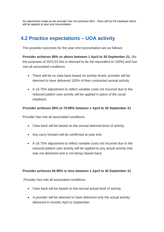No adjustment made as the provider has not achieved 36% - there will be full clawback which will be applied at year end reconciliation

# <span id="page-19-0"></span>**4.2 Practice expectations – UOA activity**

The possible outcomes for the year end reconciliation are as follows:

**Provider achieves 80% or above between 1 April to 30 September 21,** (for the purposes of 2021/22 this is deemed to be the equivalent to 100%) and has met all associated conditions.

- There will be no claw back based on activity levels, provider will be deemed to have delivered 100% of their contracted annual activity
- A 16.75% adjustment to reflect variable costs not incurred due to the reduced patient care activity will be applied in place of the usual clawback.

### **Provider achieves 56% to 79.99% between 1 April to 30 September 21**

Provider has met all associated conditions.

- Claw back will be based on the annual deemed level of activity.
- Any carry forward will be confirmed at year end.
- A 16.75% adjustment to reflect variable costs not incurred due to the reduced patient care activity will be applied to any actual activity that was not delivered and is not being clawed back.

#### **Provider achieves 55.99% or less between 1 April to 30 September 21**

Provider has met all associated conditions.

- Claw back will be based on the annual actual level of activity
- A provider will be deemed to have delivered only the actual activity delivered in months April to September.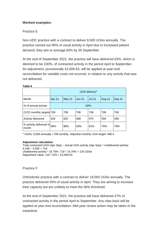### **Worked examples:**

### Practice E

Non-UDC practice with a contract to deliver 8,500 UOAs annually. The practice carried out 90% of usual activity in April due to increased patient demand, they aim to average 83% by 30 September.

At the end of September 2021, the practice will have delivered 83%, which is deemed to be 100%, of contracted activity in the period April to September. An adjustment, provisionally £3,006.63, will be applied at year-end reconciliation for variable costs not incurred, in relation to any activity that was not delivered.

|                                  | UOA delivery* |        |               |               |               |        |
|----------------------------------|---------------|--------|---------------|---------------|---------------|--------|
| Month                            | Apr 21        | May 21 | <b>Jun 21</b> | <b>Jul 21</b> | <b>Aug 21</b> | Sep 21 |
| % of annual activity             | 50%           |        |               |               |               |        |
| 21/22 monthly targets 708        |               | 708    | 708           | 708           | 708           | 708    |
| Activity delivered               | 634           | 620    | 589           | 570           | 559           | 558    |
| % activity delivered in<br>month | 90%           | 88%    | 83%           | 81%           | 79%           | 79%    |

#### **Table 6**

\* UOAs: 8,500 annually / 708 monthly. Adjusted monthly UOA target: 566.4

#### **Adjustment calculation**

Total contracted UOA (Apr-Sep) – Actual UOA activity (Apr-Sep) = Undelivered activity:  $4,248 - 3,530 = 718$ Undelivered activity \* 16.75%: 718 \* 16.75% = 120 UDAs Adjustment value: 120 \* £25 = £3,006.63

#### Practice F

Orthodontic practice with a contract to deliver 19,000 UOAs annually. The practice delivered 45% of usual activity in April. They are aiming to increase their capacity but are unlikely to meet the 56% threshold.

At the end of September 2021, the practice will have delivered 47% of contracted activity in the period April to September. Any claw back will be applied at year end reconciliation. Mid-year review action may be taken in the meantime.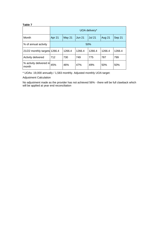#### **Table 7**

|                                  | UOA delivery* |        |               |               |               |        |
|----------------------------------|---------------|--------|---------------|---------------|---------------|--------|
| Month                            | Apr 21        | May 21 | <b>Jun 21</b> | <b>Jul 21</b> | <b>Aug 21</b> | Sep 21 |
| % of annual activity             | 50%           |        |               |               |               |        |
| 21/22 monthly targets 1266.4     |               | 1266.4 | 1266.4        | 1266.4        | 1266.4        | 1266.4 |
| Activity delivered               | 712           | 730    | 749           | 775           | 787           | 799    |
| % activity delivered in<br>month | 45%           | 46%    | 47%           | 49%           | 50%           | 50%    |

\* UOAs: 19,000 annually / 1,583 monthly. Adjusted monthly UOA target:

Adjustment Calculation

No adjustment made as the provider has not achieved 56% - there will be full clawback which will be applied at year end reconciliation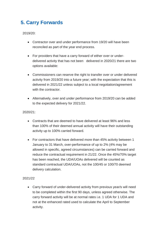# <span id="page-22-0"></span>**5. Carry Forwards**

2019/20:

- Contractor over and under performance from 19/20 will have been reconciled as part of the year end process.
- For providers that have a carry forward of either over or underdelivered activity that has not been delivered in 2020/21 there are two options available:
- Commissioners can reserve the right to transfer over or under delivered activity from 2019/20 into a future year; with the expectation that this is delivered in 2021/22 unless subject to a local negotiation/agreement with the contractor.
- Alternatively, over and under performance from 2019/20 can be added to the expected delivery for 2021/22.

### 2020/21:

- Contracts that are deemed to have delivered at least 96% and less than 100% of their deemed annual activity will have their outstanding activity up to 100% carried forward.
- For contractors that have delivered more than 45% activity between 1 January to 31 March, over-performance of up to 2% (4% may be allowed in specific, agreed circumstances) can be carried forward and reduce the contractual requirement in 21/22. Once the 45%/70% target has been reached, the UDA/UOAs delivered will be counted as standard contractual UDA/UOAs, not the 100/45 or 100/70 deemed delivery calculation.

#### 2021/22

• Carry forward of under-delivered activity from previous year/s will need to be completed within the first 90 days, unless agreed otherwise. The carry forward activity will be at normal rates i.e. 1 UDA for 1 UDA and not at the enhanced rated used to calculate the April to September activity.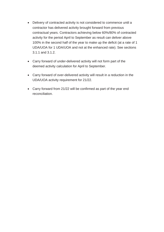- Delivery of contracted activity is not considered to commence until a contractor has delivered activity brought forward from previous contractual years. Contractors achieving below 60%/80% of contracted activity for the period April to September as result can deliver above 100% in the second half of the year to make up the deficit (at a rate of 1 UDA/UOA for 1 UDA/UOA and not at the enhanced rate). See sections 3.1.1 and 3.1.2.
- Carry forward of under-delivered activity will not form part of the deemed activity calculation for April to September.
- Carry forward of over-delivered activity will result in a reduction in the UDA/UOA activity requirement for 21/22.
- Carry forward from 21/22 will be confirmed as part of the year end reconciliation.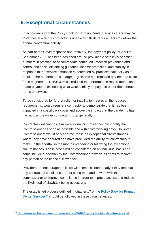# <span id="page-24-0"></span>**6. Exceptional circumstances**

In accordance with the Policy Book for Primary Dental Services there may be instances in which a contractor is unable to fulfil its requirements to deliver the annual contractual activity.

As part of the Covid response and recovery, the payment policy for April to September 2021 has been designed around providing a safe level of patient numbers in practice, to accommodate continued infection prevention and control and social distancing guidance, income protection, and stability in response to the service disruption experienced by practices nationally as a result of the pandemic. To a large degree, this has removed any need to claim force majeure, as NHSE & NHSI reduced the performance requirements and made payments exceeding what would strictly be payable under the contract terms otherwise.

To be considered for further relief for inability to meet even the reduced requirements, would require a contractor to demonstrate that it has been impacted in a specific way over and above the impact that the pandemic has had across the wider contractor group generally.

Contractors wishing to claim exceptional circumstances must notify the Commissioner as soon as possible and within five working days. However, Commissioners would only approve these as exceptional circumstances where they have endured and have precluded the ability for contractors to make up the shortfall in the months preceding or following the exceptional circumstances. These cases will be considered on an individual basis and could include a decision by the Commissioner to waive its rights to recover any portion of the financial claw back.

Providers are encouraged to liaise with commissioners early if they feel that any contractual conditions are not being met, and to work with the commissioner to improve compliance in order to improve access and reduce the likelihood of clawback being necessary.

The established process outlined in chapter 17 of the [Policy Book for Primary](https://www.england.nhs.uk/wp-content/uploads/2018/04/policy-book-for-dental-services.pdf)  [Dental Services](https://www.england.nhs.uk/wp-content/uploads/2018/04/policy-book-for-dental-services.pdf)<sup>13</sup> should be followed in these circumstances.

<sup>13</sup> <https://www.england.nhs.uk/wp-content/uploads/2018/04/policy-book-for-dental-services.pdf>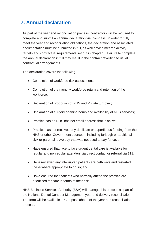# <span id="page-25-0"></span>**7. Annual declaration**

As part of the year end reconciliation process, contractors will be required to complete and submit an annual declaration via Compass. In order to fully meet the year end reconciliation obligations, the declaration and associated documentation must be submitted in full, as well having met the activity targets and contractual requirements set out in chapter 3. Failure to complete the annual declaration in full may result in the contract reverting to usual contractual arrangements.

The declaration covers the following:

- Completion of workforce risk assessments;
- Completion of the monthly workforce return and retention of the workforce;
- Declaration of proportion of NHS and Private turnover;
- Declaration of surgery opening hours and availability of NHS services;
- Practice has an NHS nhs.net email address that is active;
- Practice has not received any duplicate or superfluous funding from the NHS or other Government sources – including furlough or additional sick or parental leave pay that was not used to pay for cover;
- Have ensured that face to face urgent dental care is available for regular and nonregular attenders via direct contact or referral via 111;
- Have reviewed any interrupted patient care pathways and restarted these where appropriate to do so; and
- Have ensured that patients who normally attend the practice are prioritised for care in terms of their risk.

NHS Business Services Authority (BSA) will manage this process as part of the National Dental Contract Management year end delivery reconciliation. The form will be available in Compass ahead of the year end reconciliation process.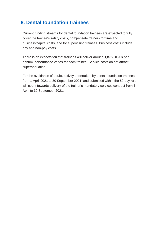## <span id="page-26-0"></span>**8. Dental foundation trainees**

Current funding streams for dental foundation trainees are expected to fully cover the trainee's salary costs, compensate trainers for time and business/capital costs, and for supervising trainees. Business costs include pay and non-pay costs.

There is an expectation that trainees will deliver around 1,875 UDA's per annum, performance varies for each trainee. Service costs do not attract superannuation.

For the avoidance of doubt, activity undertaken by dental foundation trainees from 1 April 2021 to 30 September 2021, and submitted within the 60-day rule, will count towards delivery of the trainer's mandatory services contract from 1 April to 30 September 2021.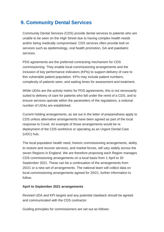## <span id="page-27-0"></span>**9. Community Dental Services**

Community Dental Services (CDS) provide dental services to patients who are unable to be seen on the High Street due to having complex health needs and/or being medically compromised. CDS services often provide bolt on services such as epidemiology, oral health promotion, GA and paediatric services.

PDS agreements are the preferred contracting mechanism for CDS commissioning. They enable local commissioning arrangements and the inclusion of key performance indicators (KPIs) to support delivery of care to this vulnerable patient population. KPIs may include patient numbers, complexity of patients seen, and waiting times for assessment and treatment.

While UDAs are the activity metric for PDS agreements, this is not necessarily suited to delivery of care for patients who fall under the remit of a CDS, and to ensure services operate within the parameters of the regulations, a notional number of UDAs are established.

Current holding arrangements, as set out in the letter of preparedness apply to CDS unless alternative arrangements have been agreed as part of the local response to Covid. An example of those arrangements would be re deployment of the CDS workforce or operating as an Urgent Dental Care (UDC) hub.

The local population health need, historic commissioning arrangements, ability to restore and recover services, and market forces, will vary widely across the seven Regions in England. We are therefore proposing each Region manages CDS commissioning arrangements on a local basis from 1 April to 30 September 2021. These can be a continuation of the arrangements from 20/21 or a new set of arrangements. The national team will collect data on local commissioning arrangements agreed for 20/21, further information to follow.

### **April to September 2021 arrangements**

Revised UDA and KPI targets and any potential clawback should be agreed and communicated with the CDS contractor.

Guiding principles for commissioners are set out as follows: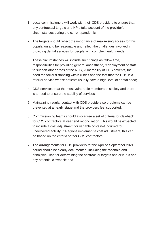- 1. Local commissioners will work with their CDS providers to ensure that any contractual targets and KPIs take account of the provider's circumstances during the current pandemic;
- 2. The targets should reflect the importance of maximising access for this population and be reasonable and reflect the challenges involved in providing dental services for people with complex health needs
- 3. These circumstances will include such things as fallow time, responsibilities for providing general anaesthetic, redeployment of staff to support other areas of the NHS, vulnerability of CDS patients, the need for social distancing within clinics and the fact that the CDS is a referral service whose patients usually have a high level of dental need;
- 4. CDS services treat the most vulnerable members of society and there is a need to ensure the stability of services;
- 5. Maintaining regular contact with CDS providers so problems can be prevented at an early stage and the providers feel supported;
- 6. Commissioning teams should also agree a set of criteria for clawback for CDS contractors at year end reconciliation. This would be expected to include a cost adjustment for variable costs not incurred for undelivered activity. If Regions implement a cost adjustment, this can be based on the criteria set for GDS contractors;
- 7. The arrangements for CDS providers for the April to September 2021 period should be clearly documented, including the rationale and principles used for determining the contractual targets and/or KPI's and any potential clawback; and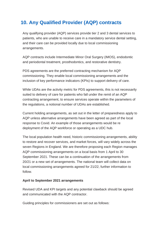# <span id="page-29-0"></span>**10. Any Qualified Provider (AQP) contracts**

Any qualifying provider (AQP) services provide tier 2 and 3 dental services to patients, who are unable to receive care in a mandatory service dental setting, and their care can be provided locally due to local commissioning arrangements.

AQP contracts include Intermediate Minor Oral Surgery (IMOS), endodontic and periodontal treatment, prosthodontics, and restorative dentistry.

PDS agreements are the preferred contracting mechanism for AQP commissioning. They enable local commissioning arrangements and the inclusion of key performance indicators (KPIs) to support delivery of care.

While UDAs are the activity metric for PDS agreements, this is not necessarily suited to delivery of care for patients who fall under the remit of an AQP contracting arrangement, to ensure services operate within the parameters of the regulations, a notional number of UDAs are established.

Current holding arrangements, as set out in the letter of preparedness apply to AQP unless alternative arrangements have been agreed as part of the local response to Covid. An example of those arrangements would be re deployment of the AQP workforce or operating as a UDC hub.

The local population health need, historic commissioning arrangements, ability to restore and recover services, and market forces, will vary widely across the seven Regions in England. We are therefore proposing each Region manages AQP commissioning arrangements on a local basis from 1 April to 30 September 2021. These can be a continuation of the arrangements from 20/21 or a new set of arrangements. The national team will collect data on local commissioning arrangements agreed for 21/22, further information to follow.

### **April to September 2021 arrangements**

Revised UDA and KPI targets and any potential clawback should be agreed and communicated with the AQP contractor.

Guiding principles for commissioners are set out as follows: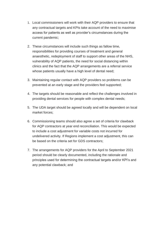- 1. Local commissioners will work with their AQP providers to ensure that any contractual targets and KPIs take account of the need to maximise access for patients as well as provider's circumstances during the current pandemic;
- 2. These circumstances will include such things as fallow time, responsibilities for providing courses of treatment and general anaesthetic, redeployment of staff to support other areas of the NHS, vulnerability of AQP patients, the need for social distancing within clinics and the fact that the AQP arrangements are a referral service whose patients usually have a high level of dental need;
- 3. Maintaining regular contact with AQP providers so problems can be prevented at an early stage and the providers feel supported;
- 4. The targets should be reasonable and reflect the challenges involved in providing dental services for people with complex dental needs;
- 5. The UDA target should be agreed locally and will be dependent on local market forces;
- 6. Commissioning teams should also agree a set of criteria for clawback for AQP contractors at year end reconciliation. This would be expected to include a cost adjustment for variable costs not incurred for undelivered activity. If Regions implement a cost adjustment, this can be based on the criteria set for GDS contractors;
- 7. The arrangements for AQP providers for the April to September 2021 period should be clearly documented, including the rationale and principles used for determining the contractual targets and/or KPI's and any potential clawback; and